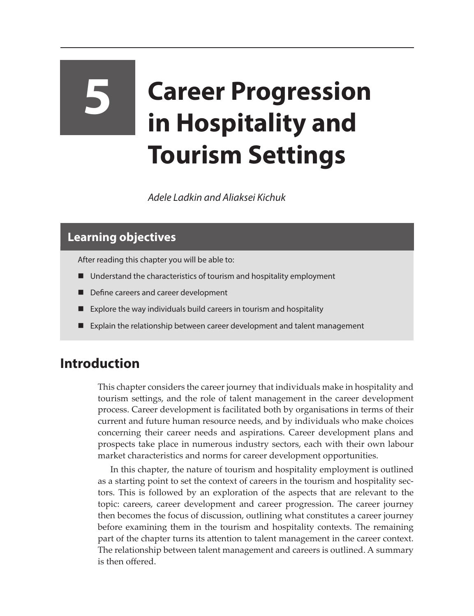# **5 Career Progression in Hospitality and Tourism Settings**

*Adele Ladkin and Aliaksei Kichuk*

# **Learning objectives**

After reading this chapter you will be able to:

- Understand the characteristics of tourism and hospitality employment
- Define careers and career development
- Explore the way individuals build careers in tourism and hospitality
- Explain the relationship between career development and talent management

### **Introduction**

This chapter considers the career journey that individuals make in hospitality and tourism settings, and the role of talent management in the career development process. Career development is facilitated both by organisations in terms of their current and future human resource needs, and by individuals who make choices concerning their career needs and aspirations. Career development plans and prospects take place in numerous industry sectors, each with their own labour market characteristics and norms for career development opportunities.

In this chapter, the nature of tourism and hospitality employment is outlined as a starting point to set the context of careers in the tourism and hospitality sectors. This is followed by an exploration of the aspects that are relevant to the topic: careers, career development and career progression. The career journey then becomes the focus of discussion, outlining what constitutes a career journey before examining them in the tourism and hospitality contexts. The remaining part of the chapter turns its attention to talent management in the career context. The relationship between talent management and careers is outlined. A summary is then offered.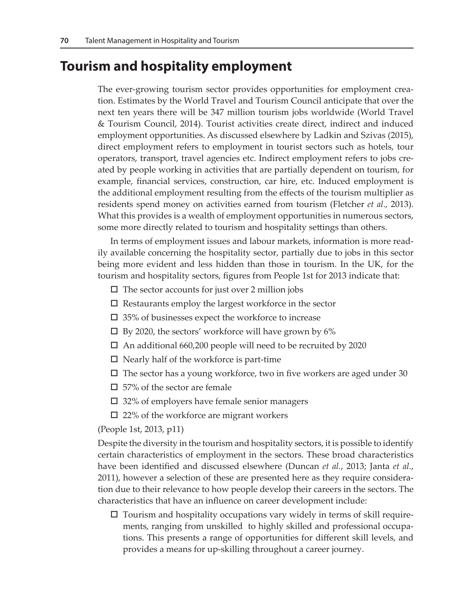## **Tourism and hospitality employment**

The ever-growing tourism sector provides opportunities for employment creation. Estimates by the World Travel and Tourism Council anticipate that over the next ten years there will be 347 million tourism jobs worldwide (World Travel & Tourism Council, 2014). Tourist activities create direct, indirect and induced employment opportunities. As discussed elsewhere by Ladkin and Szivas (2015), direct employment refers to employment in tourist sectors such as hotels, tour operators, transport, travel agencies etc. Indirect employment refers to jobs created by people working in activities that are partially dependent on tourism, for example, financial services, construction, car hire, etc. Induced employment is the additional employment resulting from the effects of the tourism multiplier as residents spend money on activities earned from tourism (Fletcher *et al*., 2013). What this provides is a wealth of employment opportunities in numerous sectors, some more directly related to tourism and hospitality settings than others.

In terms of employment issues and labour markets, information is more readily available concerning the hospitality sector, partially due to jobs in this sector being more evident and less hidden than those in tourism. In the UK, for the tourism and hospitality sectors, figures from People 1st for 2013 indicate that:

- $\square$  The sector accounts for just over 2 million jobs
- $\Box$  Restaurants employ the largest workforce in the sector
- $\square$  35% of businesses expect the workforce to increase
- $\square$  By 2020, the sectors' workforce will have grown by 6%
- □ An additional 660,200 people will need to be recruited by 2020
- $\Box$  Nearly half of the workforce is part-time
- $\square$  The sector has a young workforce, two in five workers are aged under 30
- $\square$  57% of the sector are female
- $\square$  32% of employers have female senior managers
- $\Box$  22% of the workforce are migrant workers

(People 1st, 2013, p11)

Despite the diversity in the tourism and hospitality sectors, it is possible to identify certain characteristics of employment in the sectors. These broad characteristics have been identified and discussed elsewhere (Duncan *et al.*, 2013; Janta *et al.*, 2011), however a selection of these are presented here as they require consideration due to their relevance to how people develop their careers in the sectors. The characteristics that have an influence on career development include:

 $\Box$  Tourism and hospitality occupations vary widely in terms of skill requirements, ranging from unskilled to highly skilled and professional occupations. This presents a range of opportunities for different skill levels, and provides a means for up-skilling throughout a career journey.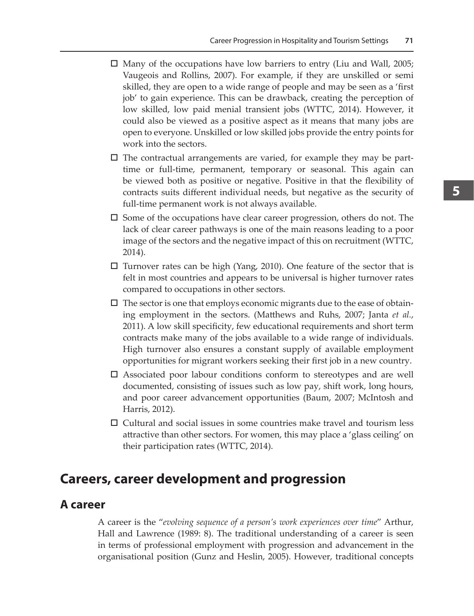- $\Box$  Many of the occupations have low barriers to entry (Liu and Wall, 2005; Vaugeois and Rollins, 2007). For example, if they are unskilled or semi skilled, they are open to a wide range of people and may be seen as a 'first job' to gain experience. This can be drawback, creating the perception of low skilled, low paid menial transient jobs (WTTC, 2014). However, it could also be viewed as a positive aspect as it means that many jobs are open to everyone. Unskilled or low skilled jobs provide the entry points for work into the sectors.
- $\Box$  The contractual arrangements are varied, for example they may be parttime or full-time, permanent, temporary or seasonal. This again can be viewed both as positive or negative. Positive in that the flexibility of contracts suits different individual needs, but negative as the security of full-time permanent work is not always available.
- $\square$  Some of the occupations have clear career progression, others do not. The lack of clear career pathways is one of the main reasons leading to a poor image of the sectors and the negative impact of this on recruitment (WTTC, 2014).
- $\Box$  Turnover rates can be high (Yang, 2010). One feature of the sector that is felt in most countries and appears to be universal is higher turnover rates compared to occupations in other sectors.
- $\square$  The sector is one that employs economic migrants due to the ease of obtaining employment in the sectors. (Matthews and Ruhs, 2007; Janta *et al.*, 2011). A low skill specificity, few educational requirements and short term contracts make many of the jobs available to a wide range of individuals. High turnover also ensures a constant supply of available employment opportunities for migrant workers seeking their first job in a new country.
- $\square$  Associated poor labour conditions conform to stereotypes and are well documented, consisting of issues such as low pay, shift work, long hours, and poor career advancement opportunities (Baum, 2007; McIntosh and Harris, 2012).
- $\Box$  Cultural and social issues in some countries make travel and tourism less attractive than other sectors. For women, this may place a 'glass ceiling' on their participation rates (WTTC, 2014).

#### **Careers, career development and progression**

#### **A career**

A career is the "*evolving sequence of a person's work experiences over time*" Arthur, Hall and Lawrence (1989: 8). The traditional understanding of a career is seen in terms of professional employment with progression and advancement in the organisational position (Gunz and Heslin, 2005). However, traditional concepts